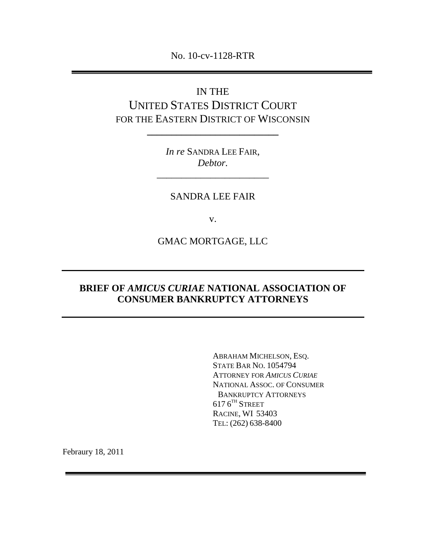No. 10-cv-1128-RTR

# IN THE UNITED STATES DISTRICT COURT FOR THE EASTERN DISTRICT OF WISCONSIN

*In re* SANDRA LEE FAIR, *Debtor.*

\_\_\_\_\_\_\_\_\_\_\_\_\_\_\_\_\_\_\_\_\_\_\_

**\_\_\_\_\_\_\_\_\_\_\_\_\_\_\_\_\_\_\_\_\_\_\_\_\_\_\_**

# SANDRA LEE FAIR

v.

GMAC MORTGAGE, LLC

# **BRIEF OF** *AMICUS CURIAE* **NATIONAL ASSOCIATION OF CONSUMER BANKRUPTCY ATTORNEYS**

ABRAHAM MICHELSON, ESQ. STATE BAR NO. 1054794 ATTORNEY FOR *AMICUS CURIAE* NATIONAL ASSOC. OF CONSUMER BANKRUPTCY ATTORNEYS  $617\,6^{\text{\tiny{TH}}}$  Street RACINE, WI 53403 TEL: (262) 638-8400

Febraury 18, 2011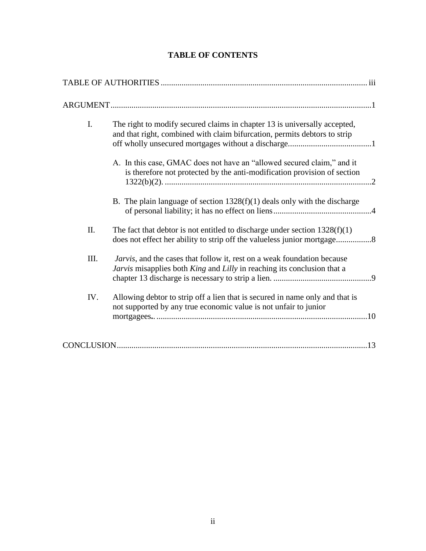| <b>TABLE OF CONTENTS</b> |  |
|--------------------------|--|
|--------------------------|--|

| I.   | The right to modify secured claims in chapter 13 is universally accepted,<br>and that right, combined with claim bifurcation, permits debtors to strip |
|------|--------------------------------------------------------------------------------------------------------------------------------------------------------|
|      | A. In this case, GMAC does not have an "allowed secured claim," and it<br>is therefore not protected by the anti-modification provision of section     |
|      | B. The plain language of section $1328(f)(1)$ deals only with the discharge                                                                            |
| II.  | The fact that debtor is not entitled to discharge under section $1328(f)(1)$                                                                           |
| III. | Jarvis, and the cases that follow it, rest on a weak foundation because<br>Jarvis misapplies both King and Lilly in reaching its conclusion that a     |
| IV.  | Allowing debtor to strip off a lien that is secured in name only and that is<br>not supported by any true economic value is not unfair to junior       |
|      | .13                                                                                                                                                    |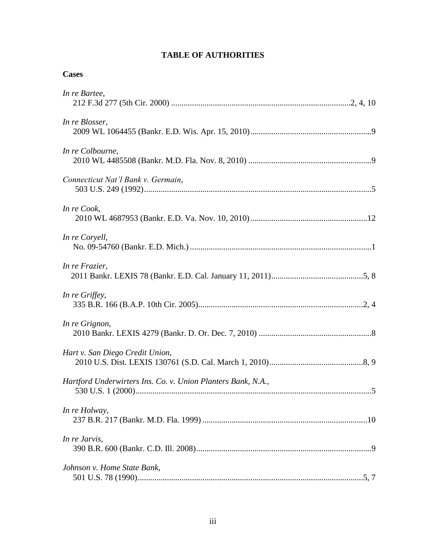### **TABLE OF AUTHORITIES**

#### **Cases**

*In re Jarvis*,

*Johnson v. Home State Bank,* 

390 B.R. 600 (Bankr. C.D. Ill. 2008)....................................................................................9

501 U.S. 78 (1990)............................................................................................................5, 7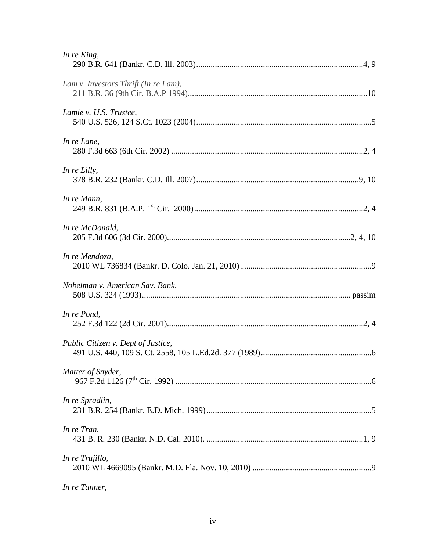| In re King,                          |
|--------------------------------------|
| Lam v. Investors Thrift (In re Lam), |
| Lamie v. U.S. Trustee,               |
| In re Lane,                          |
| In re Lilly,                         |
| In re Mann,                          |
| In re McDonald,                      |
| In re Mendoza,                       |
| Nobelman v. American Sav. Bank,      |
| In re Pond,                          |
| Public Citizen v. Dept of Justice,   |
| Matter of Snyder,                    |
| In re Spradlin,                      |
| In re Tran,                          |
| In re Trujillo,                      |
|                                      |

*In re Tanner*,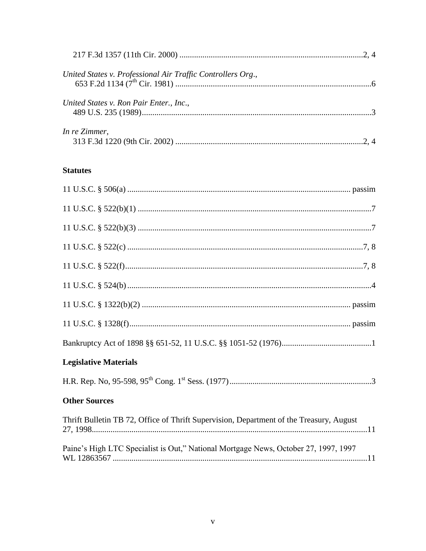| United States v. Professional Air Traffic Controllers Org., |  |
|-------------------------------------------------------------|--|
| United States v. Ron Pair Enter., Inc.,                     |  |
| In re Zimmer,                                               |  |

# **Statutes**

| <b>Legislative Materials</b>                                                            |
|-----------------------------------------------------------------------------------------|
|                                                                                         |
| <b>Other Sources</b>                                                                    |
| Thrift Bulletin TB 72, Office of Thrift Supervision, Department of the Treasury, August |
| Paine's High LTC Specialist is Out," National Mortgage News, October 27, 1997, 1997     |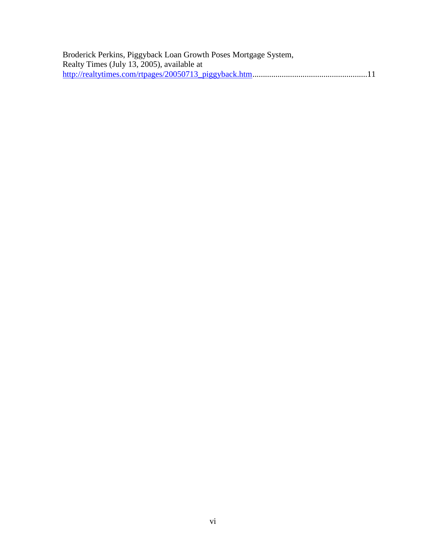| Broderick Perkins, Piggyback Loan Growth Poses Mortgage System, |  |
|-----------------------------------------------------------------|--|
| Realty Times (July 13, 2005), available at                      |  |
|                                                                 |  |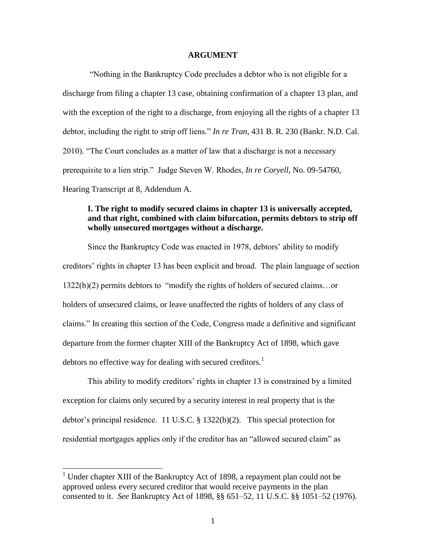#### **ARGUMENT**

―Nothing in the Bankruptcy Code precludes a debtor who is not eligible for a discharge from filing a chapter 13 case, obtaining confirmation of a chapter 13 plan, and with the exception of the right to a discharge, from enjoying all the rights of a chapter 13 debtor, including the right to strip off liens." *In re Tran*, 431 B. R. 230 (Bankr. N.D. Cal.) 2010). "The Court concludes as a matter of law that a discharge is not a necessary prerequisite to a lien strip.‖ Judge Steven W. Rhodes, *In re Coryell*, No. 09-54760, Hearing Transcript at 8, Addendum A.

#### **I. The right to modify secured claims in chapter 13 is universally accepted, and that right, combined with claim bifurcation, permits debtors to strip off wholly unsecured mortgages without a discharge.**

Since the Bankruptcy Code was enacted in 1978, debtors' ability to modify creditors' rights in chapter 13 has been explicit and broad. The plain language of section  $1322(b)(2)$  permits debtors to "modify the rights of holders of secured claims...or holders of unsecured claims, or leave unaffected the rights of holders of any class of claims.‖ In creating this section of the Code, Congress made a definitive and significant departure from the former chapter XIII of the Bankruptcy Act of 1898, which gave debtors no effective way for dealing with secured creditors.<sup>1</sup>

This ability to modify creditors' rights in chapter 13 is constrained by a limited exception for claims only secured by a security interest in real property that is the debtor's principal residence. 11 U.S.C. § 1322(b)(2). This special protection for residential mortgages applies only if the creditor has an "allowed secured claim" as

l

<sup>&</sup>lt;sup>1</sup> Under chapter XIII of the Bankruptcy Act of 1898, a repayment plan could not be approved unless every secured creditor that would receive payments in the plan consented to it. *See* Bankruptcy Act of 1898, §§ 651–52, 11 U.S.C. §§ 1051–52 (1976).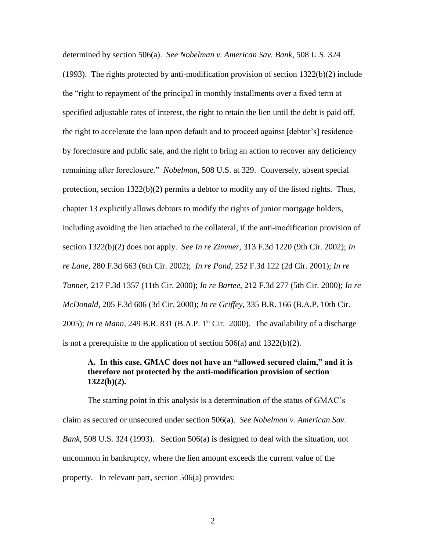determined by section 506(a). *See Nobelman v. American Sav. Bank*, 508 U.S. 324 (1993). The rights protected by anti-modification provision of section  $1322(b)(2)$  include the "right to repayment of the principal in monthly installments over a fixed term at specified adjustable rates of interest, the right to retain the lien until the debt is paid off, the right to accelerate the loan upon default and to proceed against [debtor's] residence by foreclosure and public sale, and the right to bring an action to recover any deficiency remaining after foreclosure." *Nobelman*, 508 U.S. at 329. Conversely, absent special protection, section 1322(b)(2) permits a debtor to modify any of the listed rights. Thus, chapter 13 explicitly allows debtors to modify the rights of junior mortgage holders, including avoiding the lien attached to the collateral, if the anti-modification provision of section 1322(b)(2) does not apply. *See In re Zimmer*, 313 F.3d 1220 (9th Cir. 2002); *In re Lane*, 280 F.3d 663 (6th Cir. 2002); *In re Pond*, 252 F.3d 122 (2d Cir. 2001); *In re Tanner*, 217 F.3d 1357 (11th Cir. 2000); *In re Bartee*, 212 F.3d 277 (5th Cir. 2000); *In re McDonald*, 205 F.3d 606 (3d Cir. 2000); *In re Griffey*, 335 B.R. 166 (B.A.P. 10th Cir. 2005); *In re Mann*, 249 B.R. 831 (B.A.P. 1<sup>st</sup> Cir. 2000). The availability of a discharge is not a prerequisite to the application of section  $506(a)$  and  $1322(b)(2)$ .

#### **A. In this case, GMAC does not have an "allowed secured claim," and it is therefore not protected by the anti-modification provision of section 1322(b)(2).**

The starting point in this analysis is a determination of the status of GMAC's claim as secured or unsecured under section 506(a). *See Nobelman v. American Sav. Bank*, 508 U.S. 324 (1993). Section 506(a) is designed to deal with the situation, not uncommon in bankruptcy, where the lien amount exceeds the current value of the property. In relevant part, section 506(a) provides: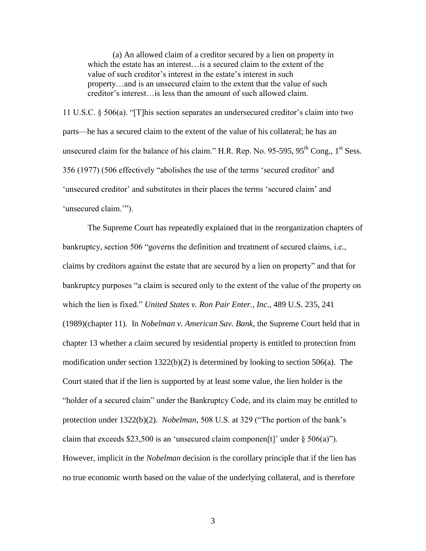(a) An allowed claim of a creditor secured by a lien on property in which the estate has an interest…is a secured claim to the extent of the value of such creditor's interest in the estate's interest in such property…and is an unsecured claim to the extent that the value of such creditor's interest…is less than the amount of such allowed claim.

11 U.S.C.  $\S$  506(a). "[T] his section separates an undersecured creditor's claim into two parts—he has a secured claim to the extent of the value of his collateral; he has an unsecured claim for the balance of his claim." H.R. Rep. No.  $95-595$ ,  $95<sup>th</sup>$  Cong., 1<sup>st</sup> Sess. 356 (1977) (506 effectively "abolishes the use of the terms 'secured creditor' and ‗unsecured creditor' and substitutes in their places the terms ‗secured claim' and 'unsecured claim.'").

The Supreme Court has repeatedly explained that in the reorganization chapters of bankruptcy, section 506 "governs the definition and treatment of secured claims, i.e., claims by creditors against the estate that are secured by a lien on property" and that for bankruptcy purposes "a claim is secured only to the extent of the value of the property on which the lien is fixed.‖ *United States v. Ron Pair Enter., Inc*., 489 U.S. 235, 241 (1989)(chapter 11). In *Nobelman v. American Sav. Bank*, the Supreme Court held that in chapter 13 whether a claim secured by residential property is entitled to protection from modification under section  $1322(b)(2)$  is determined by looking to section 506(a). The Court stated that if the lien is supported by at least some value, the lien holder is the ―holder of a secured claim‖ under the Bankruptcy Code, and its claim may be entitled to protection under 1322(b)(2). *Nobelman*, 508 U.S. at 329 ("The portion of the bank's claim that exceeds \$23,500 is an 'unsecured claim componen[t]' under  $\S 506(a)$ "). However, implicit in the *Nobelman* decision is the corollary principle that if the lien has no true economic worth based on the value of the underlying collateral, and is therefore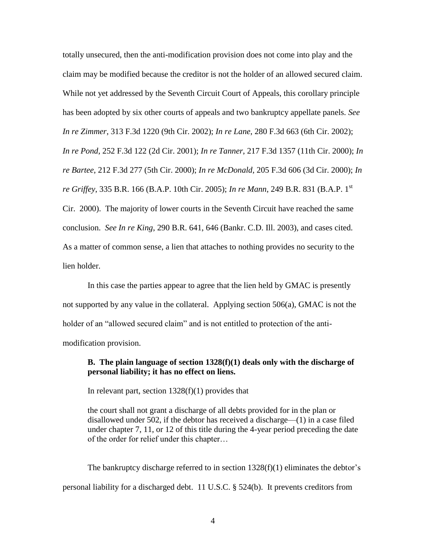totally unsecured, then the anti-modification provision does not come into play and the claim may be modified because the creditor is not the holder of an allowed secured claim. While not yet addressed by the Seventh Circuit Court of Appeals, this corollary principle has been adopted by six other courts of appeals and two bankruptcy appellate panels. *See In re Zimmer*, 313 F.3d 1220 (9th Cir. 2002); *In re Lane*, 280 F.3d 663 (6th Cir. 2002); *In re Pond*, 252 F.3d 122 (2d Cir. 2001); *In re Tanner*, 217 F.3d 1357 (11th Cir. 2000); *In re Bartee*, 212 F.3d 277 (5th Cir. 2000); *In re McDonald*, 205 F.3d 606 (3d Cir. 2000); *In re Griffey*, 335 B.R. 166 (B.A.P. 10th Cir. 2005); *In re Mann*, 249 B.R. 831 (B.A.P. 1st Cir. 2000).The majority of lower courts in the Seventh Circuit have reached the same conclusion. *See In re King*, 290 B.R. 641, 646 (Bankr. C.D. Ill. 2003), and cases cited. As a matter of common sense, a lien that attaches to nothing provides no security to the lien holder.

In this case the parties appear to agree that the lien held by GMAC is presently not supported by any value in the collateral. Applying section 506(a), GMAC is not the holder of an "allowed secured claim" and is not entitled to protection of the antimodification provision.

#### **B. The plain language of section 1328(f)(1) deals only with the discharge of personal liability; it has no effect on liens.**

In relevant part, section  $1328(f)(1)$  provides that

the court shall not grant a discharge of all debts provided for in the plan or disallowed under 502, if the debtor has received a discharge—(1) in a case filed under chapter 7, 11, or 12 of this title during the 4-year period preceding the date of the order for relief under this chapter…

The bankruptcy discharge referred to in section  $1328(f)(1)$  eliminates the debtor's personal liability for a discharged debt. 11 U.S.C. § 524(b). It prevents creditors from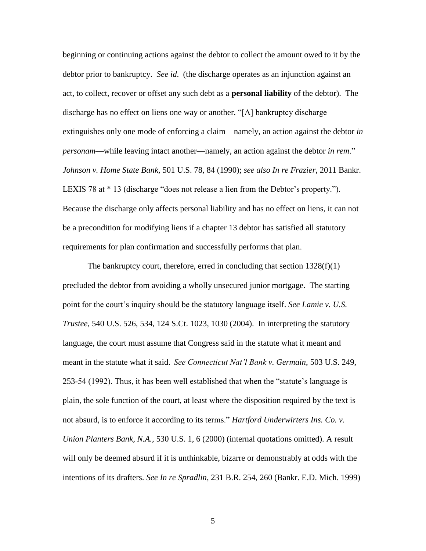beginning or continuing actions against the debtor to collect the amount owed to it by the debtor prior to bankruptcy. *See id*. (the discharge operates as an injunction against an act, to collect, recover or offset any such debt as a **personal liability** of the debtor). The discharge has no effect on liens one way or another. "[A] bankruptcy discharge extinguishes only one mode of enforcing a claim—namely, an action against the debtor *in personam*—while leaving intact another—namely, an action against the debtor *in rem*." *Johnson v. Home State Bank,* 501 U.S. 78, 84 (1990); *see also In re Frazier,* 2011 Bankr. LEXIS 78 at  $*$  13 (discharge "does not release a lien from the Debtor's property."). Because the discharge only affects personal liability and has no effect on liens, it can not be a precondition for modifying liens if a chapter 13 debtor has satisfied all statutory requirements for plan confirmation and successfully performs that plan.

The bankruptcy court, therefore, erred in concluding that section 1328(f)(1) precluded the debtor from avoiding a wholly unsecured junior mortgage. The starting point for the court's inquiry should be the statutory language itself. *See Lamie v. U.S. Trustee*, 540 U.S. 526, 534, 124 S.Ct. 1023, 1030 (2004). In interpreting the statutory language, the court must assume that Congress said in the statute what it meant and meant in the statute what it said. *See Connecticut Nat'l Bank v. Germain*, 503 U.S. 249,  $253-54$  (1992). Thus, it has been well established that when the "statute's language is plain, the sole function of the court, at least where the disposition required by the text is not absurd, is to enforce it according to its terms." *Hartford Underwirters Ins. Co. v. Union Planters Bank, N.A.,* 530 U.S. 1, 6 (2000) (internal quotations omitted). A result will only be deemed absurd if it is unthinkable, bizarre or demonstrably at odds with the intentions of its drafters. *See In re Spradlin*, 231 B.R. 254, 260 (Bankr. E.D. Mich. 1999)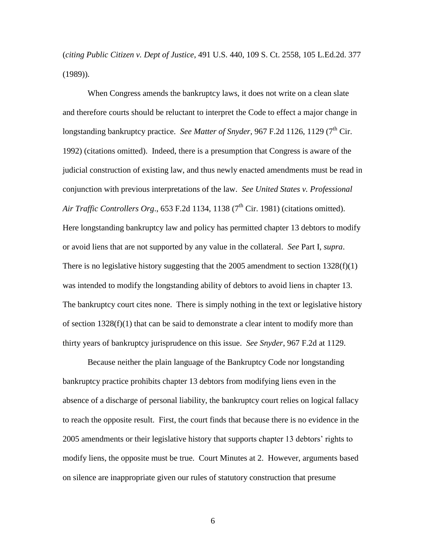(*citing Public Citizen v. Dept of Justice*, 491 U.S. 440, 109 S. Ct. 2558, 105 L.Ed.2d. 377 (1989)).

When Congress amends the bankruptcy laws, it does not write on a clean slate and therefore courts should be reluctant to interpret the Code to effect a major change in longstanding bankruptcy practice. *See Matter of Snyder*, 967 F.2d 1126, 1129 (7<sup>th</sup> Cir. 1992) (citations omitted). Indeed, there is a presumption that Congress is aware of the judicial construction of existing law, and thus newly enacted amendments must be read in conjunction with previous interpretations of the law. *See United States v. Professional Air Traffic Controllers Org.*, 653 F.2d 1134, 1138  $(7<sup>th</sup> Cir. 1981)$  (citations omitted). Here longstanding bankruptcy law and policy has permitted chapter 13 debtors to modify or avoid liens that are not supported by any value in the collateral. *See* Part I, *supra*. There is no legislative history suggesting that the 2005 amendment to section  $1328(f)(1)$ was intended to modify the longstanding ability of debtors to avoid liens in chapter 13. The bankruptcy court cites none. There is simply nothing in the text or legislative history of section 1328(f)(1) that can be said to demonstrate a clear intent to modify more than thirty years of bankruptcy jurisprudence on this issue. *See Snyder*, 967 F.2d at 1129.

Because neither the plain language of the Bankruptcy Code nor longstanding bankruptcy practice prohibits chapter 13 debtors from modifying liens even in the absence of a discharge of personal liability, the bankruptcy court relies on logical fallacy to reach the opposite result. First, the court finds that because there is no evidence in the 2005 amendments or their legislative history that supports chapter 13 debtors' rights to modify liens, the opposite must be true. Court Minutes at 2. However, arguments based on silence are inappropriate given our rules of statutory construction that presume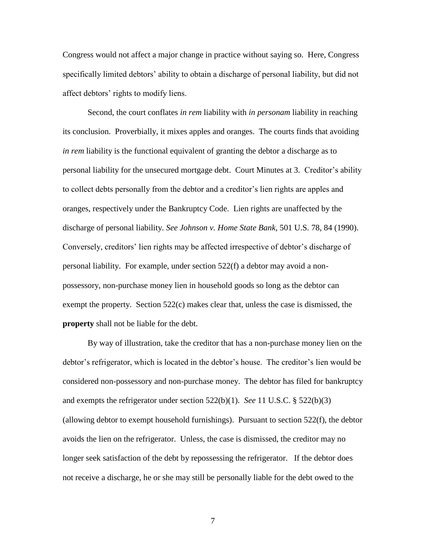Congress would not affect a major change in practice without saying so. Here, Congress specifically limited debtors' ability to obtain a discharge of personal liability, but did not affect debtors' rights to modify liens.

Second, the court conflates *in rem* liability with *in personam* liability in reaching its conclusion. Proverbially, it mixes apples and oranges. The courts finds that avoiding *in rem* liability is the functional equivalent of granting the debtor a discharge as to personal liability for the unsecured mortgage debt. Court Minutes at 3. Creditor's ability to collect debts personally from the debtor and a creditor's lien rights are apples and oranges, respectively under the Bankruptcy Code. Lien rights are unaffected by the discharge of personal liability. *See Johnson v. Home State Bank,* 501 U.S. 78, 84 (1990). Conversely, creditors' lien rights may be affected irrespective of debtor's discharge of personal liability. For example, under section 522(f) a debtor may avoid a nonpossessory, non-purchase money lien in household goods so long as the debtor can exempt the property. Section 522(c) makes clear that, unless the case is dismissed, the **property** shall not be liable for the debt.

By way of illustration, take the creditor that has a non-purchase money lien on the debtor's refrigerator, which is located in the debtor's house. The creditor's lien would be considered non-possessory and non-purchase money. The debtor has filed for bankruptcy and exempts the refrigerator under section 522(b)(1). *See* 11 U.S.C. § 522(b)(3) (allowing debtor to exempt household furnishings). Pursuant to section  $522(f)$ , the debtor avoids the lien on the refrigerator. Unless, the case is dismissed, the creditor may no longer seek satisfaction of the debt by repossessing the refrigerator. If the debtor does not receive a discharge, he or she may still be personally liable for the debt owed to the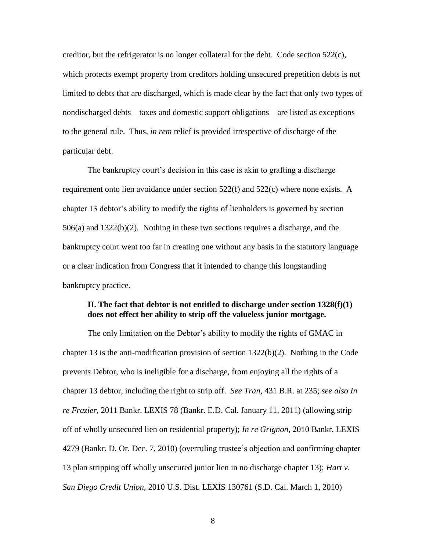creditor, but the refrigerator is no longer collateral for the debt. Code section  $522(c)$ , which protects exempt property from creditors holding unsecured prepetition debts is not limited to debts that are discharged, which is made clear by the fact that only two types of nondischarged debts—taxes and domestic support obligations—are listed as exceptions to the general rule. Thus, *in rem* relief is provided irrespective of discharge of the particular debt.

The bankruptcy court's decision in this case is akin to grafting a discharge requirement onto lien avoidance under section  $522(f)$  and  $522(c)$  where none exists. A chapter 13 debtor's ability to modify the rights of lienholders is governed by section  $506(a)$  and  $1322(b)(2)$ . Nothing in these two sections requires a discharge, and the bankruptcy court went too far in creating one without any basis in the statutory language or a clear indication from Congress that it intended to change this longstanding bankruptcy practice.

#### **II. The fact that debtor is not entitled to discharge under section 1328(f)(1) does not effect her ability to strip off the valueless junior mortgage.**

The only limitation on the Debtor's ability to modify the rights of GMAC in chapter 13 is the anti-modification provision of section 1322(b)(2). Nothing in the Code prevents Debtor, who is ineligible for a discharge, from enjoying all the rights of a chapter 13 debtor, including the right to strip off. *See Tran*, 431 B.R. at 235; *see also In re Frazier,* 2011 Bankr. LEXIS 78 (Bankr. E.D. Cal. January 11, 2011) (allowing strip off of wholly unsecured lien on residential property); *In re Grignon*, 2010 Bankr. LEXIS 4279 (Bankr. D. Or. Dec. 7, 2010) (overruling trustee's objection and confirming chapter 13 plan stripping off wholly unsecured junior lien in no discharge chapter 13); *Hart v. San Diego Credit Union*, 2010 U.S. Dist. LEXIS 130761 (S.D. Cal. March 1, 2010)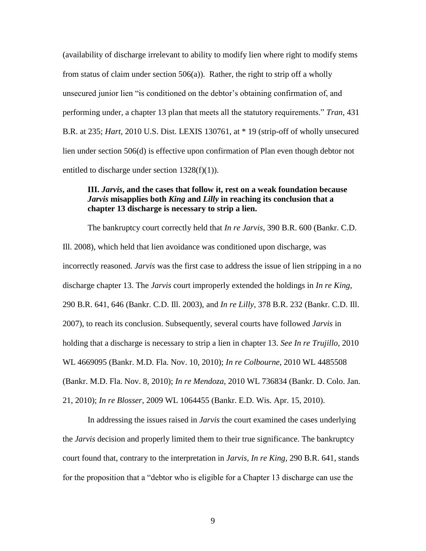(availability of discharge irrelevant to ability to modify lien where right to modify stems from status of claim under section 506(a)). Rather, the right to strip off a wholly unsecured junior lien "is conditioned on the debtor's obtaining confirmation of, and performing under, a chapter 13 plan that meets all the statutory requirements." *Tran*, 431 B.R. at 235; *Hart*, 2010 U.S. Dist. LEXIS 130761, at \* 19 (strip-off of wholly unsecured lien under section 506(d) is effective upon confirmation of Plan even though debtor not entitled to discharge under section  $1328(f)(1)$ ).

#### **III.** *Jarvis***, and the cases that follow it, rest on a weak foundation because**  *Jarvis* **misapplies both** *King* **and** *Lilly* **in reaching its conclusion that a chapter 13 discharge is necessary to strip a lien.**

The bankruptcy court correctly held that *In re Jarvis*, 390 B.R. 600 (Bankr. C.D. Ill. 2008), which held that lien avoidance was conditioned upon discharge, was incorrectly reasoned. *Jarvis* was the first case to address the issue of lien stripping in a no discharge chapter 13. The *Jarvis* court improperly extended the holdings in *In re King*, 290 B.R. 641, 646 (Bankr. C.D. Ill. 2003), and *In re Lilly*, 378 B.R. 232 (Bankr. C.D. Ill. 2007), to reach its conclusion. Subsequently, several courts have followed *Jarvis* in holding that a discharge is necessary to strip a lien in chapter 13. *See In re Trujillo*, 2010 WL 4669095 (Bankr. M.D. Fla. Nov. 10, 2010); *In re Colbourne*, 2010 WL 4485508 (Bankr. M.D. Fla. Nov. 8, 2010); *In re Mendoza*, 2010 WL 736834 (Bankr. D. Colo. Jan. 21, 2010); *In re Blosser*, 2009 WL 1064455 (Bankr. E.D. Wis. Apr. 15, 2010).

In addressing the issues raised in *Jarvis* the court examined the cases underlying the *Jarvis* decision and properly limited them to their true significance. The bankruptcy court found that, contrary to the interpretation in *Jarvis, In re King*, 290 B.R. 641, stands for the proposition that a "debtor who is eligible for a Chapter 13 discharge can use the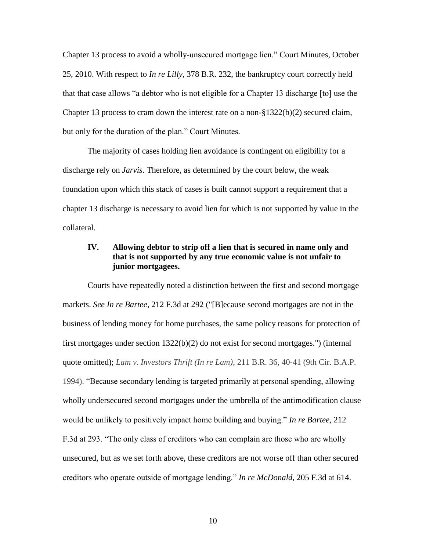Chapter 13 process to avoid a wholly-unsecured mortgage lien." Court Minutes, October 25, 2010. With respect to *In re Lilly*, 378 B.R. 232, the bankruptcy court correctly held that that case allows "a debtor who is not eligible for a Chapter 13 discharge [to] use the Chapter 13 process to cram down the interest rate on a non- $\S 1322(b)(2)$  secured claim, but only for the duration of the plan." Court Minutes.

The majority of cases holding lien avoidance is contingent on eligibility for a discharge rely on *Jarvis*. Therefore, as determined by the court below, the weak foundation upon which this stack of cases is built cannot support a requirement that a chapter 13 discharge is necessary to avoid lien for which is not supported by value in the collateral.

#### **IV. Allowing debtor to strip off a lien that is secured in name only and that is not supported by any true economic value is not unfair to junior mortgagees.**

Courts have repeatedly noted a distinction between the first and second mortgage markets. *See In re Bartee*, 212 F.3d at 292 ("[B]ecause second mortgages are not in the business of lending money for home purchases, the same policy reasons for protection of first mortgages under section 1322(b)(2) do not exist for second mortgages.") (internal quote omitted); *Lam v. Investors Thrift (In re Lam)*, 211 B.R. 36, 40-41 (9th Cir. B.A.P. 1994). "Because secondary lending is targeted primarily at personal spending, allowing wholly undersecured second mortgages under the umbrella of the antimodification clause would be unlikely to positively impact home building and buying." *In re Bartee*, 212 F.3d at 293. "The only class of creditors who can complain are those who are wholly unsecured, but as we set forth above, these creditors are not worse off than other secured creditors who operate outside of mortgage lending." In re McDonald, 205 F.3d at 614.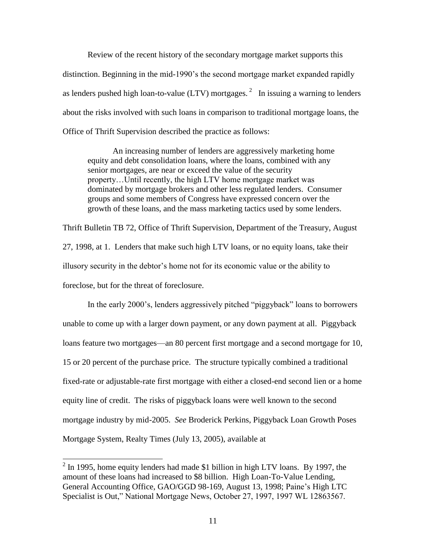Review of the recent history of the secondary mortgage market supports this distinction. Beginning in the mid-1990's the second mortgage market expanded rapidly as lenders pushed high loan-to-value (LTV) mortgages.<sup>2</sup> In issuing a warning to lenders about the risks involved with such loans in comparison to traditional mortgage loans, the Office of Thrift Supervision described the practice as follows:

An increasing number of lenders are aggressively marketing home equity and debt consolidation loans, where the loans, combined with any senior mortgages, are near or exceed the value of the security property…Until recently, the high LTV home mortgage market was dominated by mortgage brokers and other less regulated lenders. Consumer groups and some members of Congress have expressed concern over the growth of these loans, and the mass marketing tactics used by some lenders.

Thrift Bulletin TB 72, Office of Thrift Supervision, Department of the Treasury, August 27, 1998, at 1. Lenders that make such high LTV loans, or no equity loans, take their illusory security in the debtor's home not for its economic value or the ability to foreclose, but for the threat of foreclosure.

In the early 2000's, lenders aggressively pitched "piggyback" loans to borrowers unable to come up with a larger down payment, or any down payment at all. Piggyback loans feature two mortgages—an 80 percent first mortgage and a second mortgage for 10, 15 or 20 percent of the purchase price. The structure typically combined a traditional fixed-rate or adjustable-rate first mortgage with either a closed-end second lien or a home equity line of credit. The risks of piggyback loans were well known to the second mortgage industry by mid-2005. *See* Broderick Perkins, Piggyback Loan Growth Poses Mortgage System, Realty Times (July 13, 2005), available at

 $\overline{\phantom{a}}$ 

 $2 \text{ In } 1995$ , home equity lenders had made \$1 billion in high LTV loans. By 1997, the amount of these loans had increased to \$8 billion. High Loan-To-Value Lending, General Accounting Office, GAO/GGD 98-169, August 13, 1998; Paine's High LTC Specialist is Out," National Mortgage News, October 27, 1997, 1997 WL 12863567.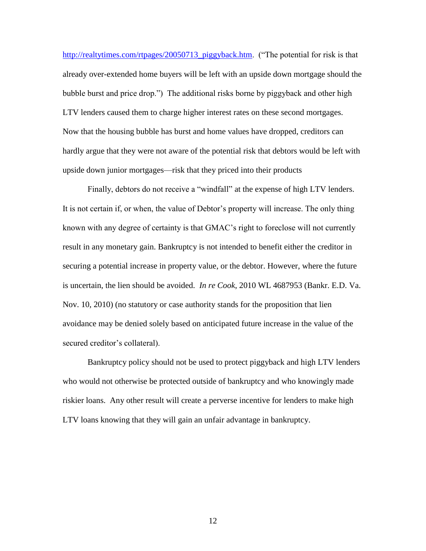[http://realtytimes.com/rtpages/20050713\\_piggyback.htm.](http://realtytimes.com/rtpages/20050713_piggyback.htm) ("The potential for risk is that already over-extended home buyers will be left with an upside down mortgage should the bubble burst and price drop.") The additional risks borne by piggyback and other high LTV lenders caused them to charge higher interest rates on these second mortgages. Now that the housing bubble has burst and home values have dropped, creditors can hardly argue that they were not aware of the potential risk that debtors would be left with upside down junior mortgages—risk that they priced into their products

Finally, debtors do not receive a "windfall" at the expense of high LTV lenders. It is not certain if, or when, the value of Debtor's property will increase. The only thing known with any degree of certainty is that GMAC's right to foreclose will not currently result in any monetary gain. Bankruptcy is not intended to benefit either the creditor in securing a potential increase in property value, or the debtor. However, where the future is uncertain, the lien should be avoided. *In re Cook*, 2010 WL 4687953 (Bankr. E.D. Va. Nov. 10, 2010) (no statutory or case authority stands for the proposition that lien avoidance may be denied solely based on anticipated future increase in the value of the secured creditor's collateral).

Bankruptcy policy should not be used to protect piggyback and high LTV lenders who would not otherwise be protected outside of bankruptcy and who knowingly made riskier loans. Any other result will create a perverse incentive for lenders to make high LTV loans knowing that they will gain an unfair advantage in bankruptcy.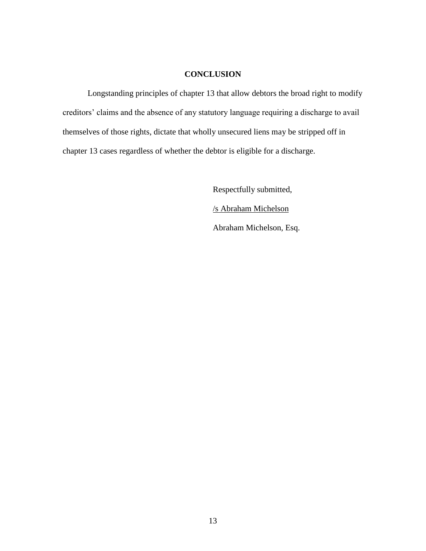### **CONCLUSION**

Longstanding principles of chapter 13 that allow debtors the broad right to modify creditors' claims and the absence of any statutory language requiring a discharge to avail themselves of those rights, dictate that wholly unsecured liens may be stripped off in chapter 13 cases regardless of whether the debtor is eligible for a discharge.

> Respectfully submitted, /s Abraham Michelson Abraham Michelson, Esq.